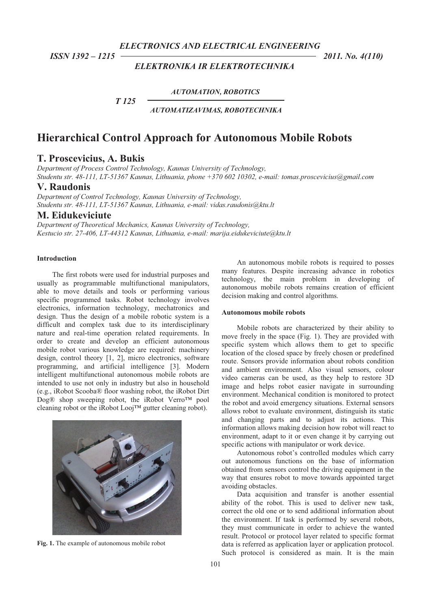*ELECTRONICS AND ELECTRICAL ENGINEERING* 

## *ELEKTRONIKA IR ELEKTROTECHNIKA*

 *ISSN 1392 – 1215 2011. No. 4(110)* 

*AUTOMATION, ROBOTICS*

*AUTOMATIZAVIMAS, ROBOTECHNIKA* 

# **Hierarchical Control Approach for Autonomous Mobile Robots**

## **T. Proscevicius, A. Bukis**

 *T 125* 

*Department of Process Control Technology, Kaunas University of Technology, Studentu str. 48-111, LT-51367 Kaunas, Lithuania, phone +370 602 10302, e-mail: tomas.proscevicius@gmail.com*

## **V. Raudonis**

*Department of Control Technology, Kaunas University of Technology, Studentu str. 48-111, LT-51367 Kaunas, Lithuania, e-mail: vidas.raudonis@ktu.lt* 

## **M. Eidukeviciute**

*Department of Theoretical Mechanics, Kaunas University of Technology, Kestucio str. 27-406, LT-44312 Kaunas, Lithuania, e-mail: marija.eidukeviciute@ktu.lt*

### **Introduction**

The first robots were used for industrial purposes and usually as programmable multifunctional manipulators, able to move details and tools or performing various specific programmed tasks. Robot technology involves electronics, information technology, mechatronics and design. Thus the design of a mobile robotic system is a difficult and complex task due to its interdisciplinary nature and real-time operation related requirements. In order to create and develop an efficient autonomous mobile robot various knowledge are required: machinery design, control theory [1, 2], micro electronics, software programming, and artificial intelligence [3]. Modern intelligent multifunctional autonomous mobile robots are intended to use not only in industry but also in household (e.g., iRobot Scooba® floor washing robot, the iRobot Dirt Dog® shop sweeping robot, the iRobot Verro™ pool cleaning robot or the iRobot Looj™ gutter cleaning robot).



**Fig. 1.** The example of autonomous mobile robot

An autonomous mobile robots is required to posses many features. Despite increasing advance in robotics technology, the main problem in developing of autonomous mobile robots remains creation of efficient decision making and control algorithms.

#### **Autonomous mobile robots**

Mobile robots are characterized by their ability to move freely in the space (Fig. 1). They are provided with specific system which allows them to get to specific location of the closed space by freely chosen or predefined route. Sensors provide information about robots condition and ambient environment. Also visual sensors, colour video cameras can be used, as they help to restore 3D image and helps robot easier navigate in surrounding environment. Mechanical condition is monitored to protect the robot and avoid emergency situations. External sensors allows robot to evaluate environment, distinguish its static and changing parts and to adjust its actions. This information allows making decision how robot will react to environment, adapt to it or even change it by carrying out specific actions with manipulator or work device.

Autonomous robot's controlled modules which carry out autonomous functions on the base of information obtained from sensors control the driving equipment in the way that ensures robot to move towards appointed target avoiding obstacles.

Data acquisition and transfer is another essential ability of the robot. This is used to deliver new task, correct the old one or to send additional information about the environment. If task is performed by several robots, they must communicate in order to achieve the wanted result. Protocol or protocol layer related to specific format data is referred as application layer or application protocol. Such protocol is considered as main. It is the main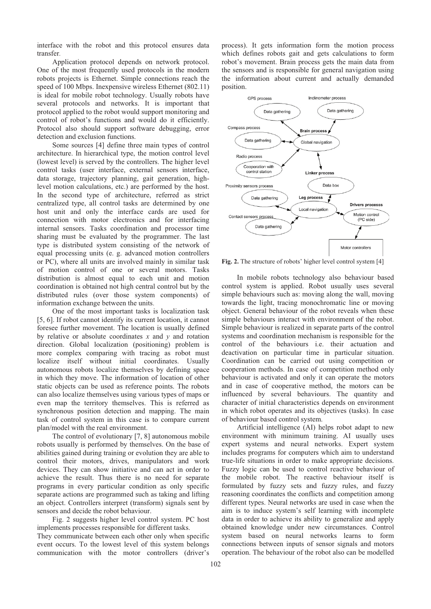interface with the robot and this protocol ensures data transfer.

Application protocol depends on network protocol. One of the most frequently used protocols in the modern robots projects is Ethernet. Simple connections reach the speed of 100 Mbps. Inexpensive wireless Ethernet (802.11) is ideal for mobile robot technology. Usually robots have several protocols and networks. It is important that protocol applied to the robot would support monitoring and control of robot's functions and would do it efficiently. Protocol also should support software debugging, error detection and exclusion functions.

Some sources [4] define three main types of control architecture. In hierarchical type, the motion control level (lowest level) is served by the controllers. The higher level control tasks (user interface, external sensors interface, data storage, trajectory planning, gait generation, highlevel motion calculations, etc.) are performed by the host. In the second type of architecture, referred as strict centralized type, all control tasks are determined by one host unit and only the interface cards are used for connection with motor electronics and for interfacing internal sensors. Tasks coordination and processor time sharing must be evaluated by the programmer. The last type is distributed system consisting of the network of equal processing units (e. g. advanced motion controllers or PC), where all units are involved mainly in similar task of motion control of one or several motors. Tasks distribution is almost equal to each unit and motion coordination is obtained not high central control but by the distributed rules (over those system components) of information exchange between the units.

One of the most important tasks is localization task [5, 6]. If robot cannot identify its current location, it cannot foresee further movement. The location is usually defined by relative or absolute coordinates *x* and *y* and rotation direction. Global localization (positioning) problem is more complex comparing with tracing as robot must localize itself without initial coordinates. Usually autonomous robots localize themselves by defining space in which they move. The information of location of other static objects can be used as reference points. The robots can also localize themselves using various types of maps or even map the territory themselves. This is referred as synchronous position detection and mapping. The main task of control system in this case is to compare current plan/model with the real environment.

The control of evolutionary [7, 8] autonomous mobile robots usually is performed by themselves. On the base of abilities gained during training or evolution they are able to control their motors, drives, manipulators and work devices. They can show initiative and can act in order to achieve the result. Thus there is no need for separate programs in every particular condition as only specific separate actions are programmed such as taking and lifting an object. Controllers interpret (transform) signals sent by sensors and decide the robot behaviour.

Fig. 2 suggests higher level control system. PC host implements processes responsible for different tasks. They communicate between each other only when specific event occurs. To the lowest level of this system belongs

communication with the motor controllers (driver's

process). It gets information form the motion process which defines robots gait and gets calculations to form robot's movement. Brain process gets the main data from the sensors and is responsible for general navigation using the information about current and actually demanded position.



**Fig. 2.** The structure of robots' higher level control system [4]

In mobile robots technology also behaviour based control system is applied. Robot usually uses several simple behaviours such as: moving along the wall, moving towards the light, tracing monochromatic line or moving object. General behaviour of the robot reveals when these simple behaviours interact with environment of the robot. Simple behaviour is realized in separate parts of the control systems and coordination mechanism is responsible for the control of the behaviours i.e. their actuation and deactivation on particular time in particular situation. Coordination can be carried out using competition or cooperation methods. In case of competition method only behaviour is activated and only it can operate the motors and in case of cooperative method, the motors can be influenced by several behaviours. The quantity and character of initial characteristics depends on environment in which robot operates and its objectives (tasks). In case of behaviour based control system.

Artificial intelligence (AI) helps robot adapt to new environment with minimum training. AI usually uses expert systems and neural networks. Expert system includes programs for computers which aim to understand true-life situations in order to make appropriate decisions. Fuzzy logic can be used to control reactive behaviour of the mobile robot. The reactive behaviour itself is formulated by fuzzy sets and fuzzy rules, and fuzzy reasoning coordinates the conflicts and competition among different types. Neural networks are used in case when the aim is to induce system's self learning with incomplete data in order to achieve its ability to generalize and apply obtained knowledge under new circumstances. Control system based on neural networks learns to form connections between inputs of sensor signals and motors operation. The behaviour of the robot also can be modelled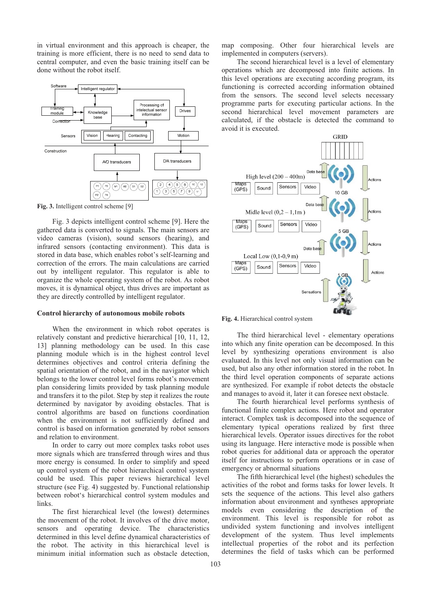in virtual environment and this approach is cheaper, the training is more efficient, there is no need to send data to central computer, and even the basic training itself can be done without the robot itself.



**Fig. 3.** Intelligent control scheme [9]

Fig. 3 depicts intelligent control scheme [9]. Here the gathered data is converted to signals. The main sensors are video cameras (vision), sound sensors (hearing), and infrared sensors (contacting environment). This data is stored in data base, which enables robot's self-learning and correction of the errors. The main calculations are carried out by intelligent regulator. This regulator is able to organize the whole operating system of the robot. As robot moves, it is dynamical object, thus drives are important as they are directly controlled by intelligent regulator.

#### **Control hierarchy of autonomous mobile robots**

When the environment in which robot operates is relatively constant and predictive hierarchical [10, 11, 12, 13] planning methodology can be used. In this case planning module which is in the highest control level determines objectives and control criteria defining the spatial orientation of the robot, and in the navigator which belongs to the lower control level forms robot's movement plan considering limits provided by task planning module and transfers it to the pilot. Step by step it realizes the route determined by navigator by avoiding obstacles. That is control algorithms are based on functions coordination when the environment is not sufficiently defined and control is based on information generated by robot sensors and relation to environment.

In order to carry out more complex tasks robot uses more signals which are transferred through wires and thus more energy is consumed. In order to simplify and speed up control system of the robot hierarchical control system could be used. This paper reviews hierarchical level structure (see Fig. 4) suggested by. Functional relationship between robot's hierarchical control system modules and links.

The first hierarchical level (the lowest) determines the movement of the robot. It involves of the drive motor, sensors and operating device. The characteristics determined in this level define dynamical characteristics of the robot. The activity in this hierarchical level is minimum initial information such as obstacle detection,

map composing. Other four hierarchical levels are implemented in computers (servers).

The second hierarchical level is a level of elementary operations which are decomposed into finite actions. In this level operations are executing according program, its functioning is corrected according information obtained from the sensors. The second level selects necessary programme parts for executing particular actions. In the second hierarchical level movement parameters are calculated, if the obstacle is detected the command to avoid it is executed.



**Fig. 4.** Hierarchical control system

The third hierarchical level - elementary operations into which any finite operation can be decomposed. In this level by synthesizing operations environment is also evaluated. In this level not only visual information can be used, but also any other information stored in the robot. In the third level operation components of separate actions are synthesized. For example if robot detects the obstacle and manages to avoid it, later it can foresee next obstacle.

The fourth hierarchical level performs synthesis of functional finite complex actions. Here robot and operator interact. Complex task is decomposed into the sequence of elementary typical operations realized by first three hierarchical levels. Operator issues directives for the robot using its language. Here interactive mode is possible when robot queries for additional data or approach the operator itself for instructions to perform operations or in case of emergency or abnormal situations

The fifth hierarchical level (the highest) schedules the activities of the robot and forms tasks for lower levels. It sets the sequence of the actions. This level also gathers information about environment and syntheses appropriate models even considering the description of the environment. This level is responsible for robot as undivided system functioning and involves intelligent development of the system. Thus level implements intellectual properties of the robot and its perfection determines the field of tasks which can be performed